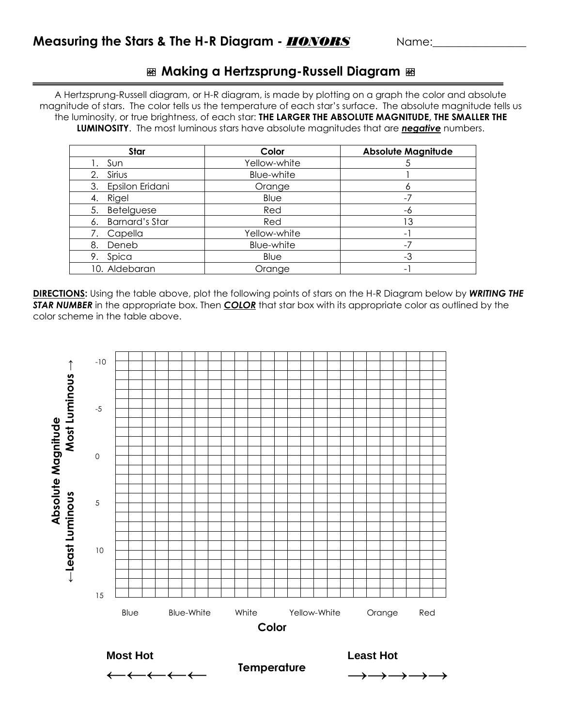## **Making a Hertzsprung-Russell Diagram**

A Hertzsprung-Russell diagram, or H-R diagram, is made by plotting on a graph the color and absolute magnitude of stars. The color tells us the temperature of each star's surface. The absolute magnitude tells us the luminosity, or true brightness, of each star: **THE LARGER THE ABSOLUTE MAGNITUDE, THE SMALLER THE LUMINOSITY**. The most luminous stars have absolute magnitudes that are *negative* numbers.

| Star                        | Color        | <b>Absolute Magnitude</b> |
|-----------------------------|--------------|---------------------------|
| Sun                         | Yellow-white |                           |
| Sirius<br>2.                | Blue-white   |                           |
| Epsilon Eridani<br>3.       | Orange       |                           |
| Rigel<br>4.                 | Blue         |                           |
| Betelguese<br>5.            | Red          | -6                        |
| <b>Barnard's Star</b><br>6. | Red          | 13                        |
| Capella                     | Yellow-white | $\sim$                    |
| Deneb<br>8.                 | Blue-white   |                           |
| Spica<br>9.                 | Blue         | -3                        |
| 10. Aldebaran               | Orange       | -                         |

**DIRECTIONS:** Using the table above, plot the following points of stars on the H-R Diagram below by *WRITING THE STAR NUMBER* in the appropriate box. Then *COLOR* that star box with its appropriate color as outlined by the color scheme in the table above.



**Temperature**

**→→→→→**

**Most Hot**

**←←←←←**